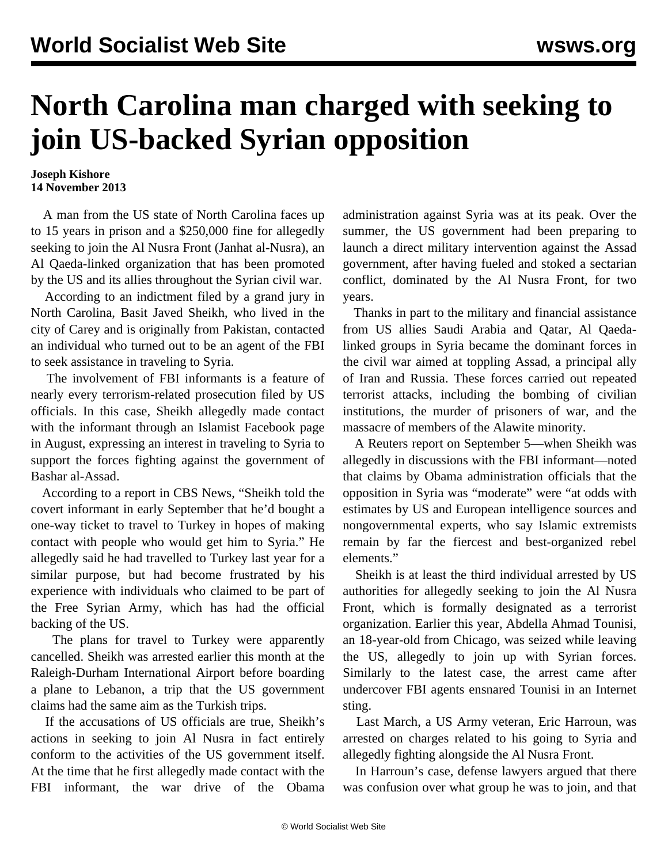## **North Carolina man charged with seeking to join US-backed Syrian opposition**

## **Joseph Kishore 14 November 2013**

 A man from the US state of North Carolina faces up to 15 years in prison and a \$250,000 fine for allegedly seeking to join the Al Nusra Front (Janhat al-Nusra), an Al Qaeda-linked organization that has been promoted by the US and its allies throughout the Syrian civil war.

 According to an indictment filed by a grand jury in North Carolina, Basit Javed Sheikh, who lived in the city of Carey and is originally from Pakistan, contacted an individual who turned out to be an agent of the FBI to seek assistance in traveling to Syria.

 The involvement of FBI informants is a feature of nearly every terrorism-related prosecution filed by US officials. In this case, Sheikh allegedly made contact with the informant through an Islamist Facebook page in August, expressing an interest in traveling to Syria to support the forces fighting against the government of Bashar al-Assad.

 According to a report in CBS News, "Sheikh told the covert informant in early September that he'd bought a one-way ticket to travel to Turkey in hopes of making contact with people who would get him to Syria." He allegedly said he had travelled to Turkey last year for a similar purpose, but had become frustrated by his experience with individuals who claimed to be part of the Free Syrian Army, which has had the official backing of the US.

 The plans for travel to Turkey were apparently cancelled. Sheikh was arrested earlier this month at the Raleigh-Durham International Airport before boarding a plane to Lebanon, a trip that the US government claims had the same aim as the Turkish trips.

 If the accusations of US officials are true, Sheikh's actions in seeking to join Al Nusra in fact entirely conform to the activities of the US government itself. At the time that he first allegedly made contact with the FBI informant, the war drive of the Obama administration against Syria was at its peak. Over the summer, the US government had been preparing to launch a direct military intervention against the Assad government, after having fueled and stoked a sectarian conflict, dominated by the Al Nusra Front, for two years.

 Thanks in part to the military and financial assistance from US allies Saudi Arabia and Qatar, Al Qaedalinked groups in Syria became the dominant forces in the civil war aimed at toppling Assad, a principal ally of Iran and Russia. These forces carried out repeated terrorist attacks, including the bombing of civilian institutions, the murder of prisoners of war, and the massacre of members of the Alawite minority.

 A Reuters report on September 5—when Sheikh was allegedly in discussions with the FBI informant—noted that claims by Obama administration officials that the opposition in Syria was "moderate" were "at odds with estimates by US and European intelligence sources and nongovernmental experts, who say Islamic extremists remain by far the fiercest and best-organized rebel elements."

 Sheikh is at least the third individual arrested by US authorities for allegedly seeking to join the Al Nusra Front, which is formally designated as a terrorist organization. Earlier this year, Abdella Ahmad Tounisi, an 18-year-old from Chicago, was seized while leaving the US, allegedly to join up with Syrian forces. Similarly to the latest case, the arrest came after undercover FBI agents ensnared Tounisi in an Internet sting.

 Last March, a US Army veteran, Eric Harroun, was arrested on charges related to his going to Syria and allegedly fighting alongside the Al Nusra Front.

 In Harroun's case, defense lawyers argued that there was confusion over what group he was to join, and that